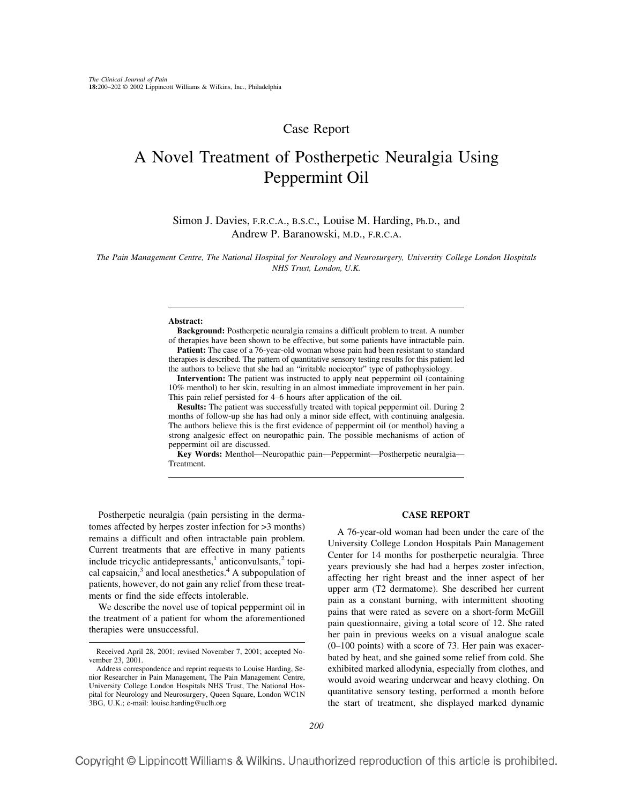## Case Report

# A Novel Treatment of Postherpetic Neuralgia Using Peppermint Oil

Simon J. Davies, F.R.C.A., B.S.C., Louise M. Harding, Ph.D., and Andrew P. Baranowski, M.D., F.R.C.A.

*The Pain Management Centre, The National Hospital for Neurology and Neurosurgery, University College London Hospitals NHS Trust, London, U.K.*

#### **Abstract:**

**Background:** Postherpetic neuralgia remains a difficult problem to treat. A number of therapies have been shown to be effective, but some patients have intractable pain.

**Patient:** The case of a 76-year-old woman whose pain had been resistant to standard therapies is described. The pattern of quantitative sensory testing results for this patient led the authors to believe that she had an "irritable nociceptor" type of pathophysiology.

**Intervention:** The patient was instructed to apply neat peppermint oil (containing 10% menthol) to her skin, resulting in an almost immediate improvement in her pain. This pain relief persisted for 4–6 hours after application of the oil.

**Results:** The patient was successfully treated with topical peppermint oil. During 2 months of follow-up she has had only a minor side effect, with continuing analgesia. The authors believe this is the first evidence of peppermint oil (or menthol) having a strong analgesic effect on neuropathic pain. The possible mechanisms of action of peppermint oil are discussed.

**Key Words:** Menthol—Neuropathic pain—Peppermint—Postherpetic neuralgia— Treatment.

Postherpetic neuralgia (pain persisting in the dermatomes affected by herpes zoster infection for >3 months) remains a difficult and often intractable pain problem. Current treatments that are effective in many patients include tricyclic antidepressants, $\frac{1}{2}$  anticonvulsants, $\frac{2}{2}$  topical capsaicin,<sup>3</sup> and local anesthetics.<sup>4</sup> A subpopulation of patients, however, do not gain any relief from these treatments or find the side effects intolerable.

We describe the novel use of topical peppermint oil in the treatment of a patient for whom the aforementioned therapies were unsuccessful.

### **CASE REPORT**

A 76-year-old woman had been under the care of the University College London Hospitals Pain Management Center for 14 months for postherpetic neuralgia. Three years previously she had had a herpes zoster infection, affecting her right breast and the inner aspect of her upper arm (T2 dermatome). She described her current pain as a constant burning, with intermittent shooting pains that were rated as severe on a short-form McGill pain questionnaire, giving a total score of 12. She rated her pain in previous weeks on a visual analogue scale (0–100 points) with a score of 73. Her pain was exacerbated by heat, and she gained some relief from cold. She exhibited marked allodynia, especially from clothes, and would avoid wearing underwear and heavy clothing. On quantitative sensory testing, performed a month before the start of treatment, she displayed marked dynamic

Received April 28, 2001; revised November 7, 2001; accepted November 23, 2001.

Address correspondence and reprint requests to Louise Harding, Senior Researcher in Pain Management, The Pain Management Centre, University College London Hospitals NHS Trust, The National Hospital for Neurology and Neurosurgery, Queen Square, London WC1N 3BG, U.K.; e-mail: louise.harding@uclh.org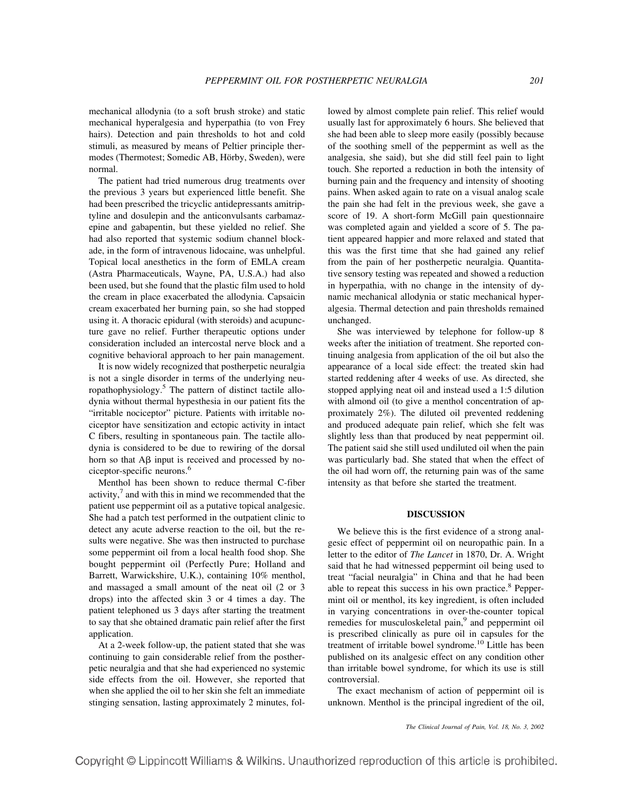mechanical allodynia (to a soft brush stroke) and static mechanical hyperalgesia and hyperpathia (to von Frey hairs). Detection and pain thresholds to hot and cold stimuli, as measured by means of Peltier principle thermodes (Thermotest; Somedic AB, Hörby, Sweden), were normal.

The patient had tried numerous drug treatments over the previous 3 years but experienced little benefit. She had been prescribed the tricyclic antidepressants amitriptyline and dosulepin and the anticonvulsants carbamazepine and gabapentin, but these yielded no relief. She had also reported that systemic sodium channel blockade, in the form of intravenous lidocaine, was unhelpful. Topical local anesthetics in the form of EMLA cream (Astra Pharmaceuticals, Wayne, PA, U.S.A.) had also been used, but she found that the plastic film used to hold the cream in place exacerbated the allodynia. Capsaicin cream exacerbated her burning pain, so she had stopped using it. A thoracic epidural (with steroids) and acupuncture gave no relief. Further therapeutic options under consideration included an intercostal nerve block and a cognitive behavioral approach to her pain management.

It is now widely recognized that postherpetic neuralgia is not a single disorder in terms of the underlying neuropathophysiology.<sup>5</sup> The pattern of distinct tactile allodynia without thermal hypesthesia in our patient fits the "irritable nociceptor" picture. Patients with irritable nociceptor have sensitization and ectopic activity in intact C fibers, resulting in spontaneous pain. The tactile allodynia is considered to be due to rewiring of the dorsal horn so that  $\overrightarrow{AB}$  input is received and processed by nociceptor-specific neurons.6

Menthol has been shown to reduce thermal C-fiber activity, $\frac{7}{7}$  and with this in mind we recommended that the patient use peppermint oil as a putative topical analgesic. She had a patch test performed in the outpatient clinic to detect any acute adverse reaction to the oil, but the results were negative. She was then instructed to purchase some peppermint oil from a local health food shop. She bought peppermint oil (Perfectly Pure; Holland and Barrett, Warwickshire, U.K.), containing 10% menthol, and massaged a small amount of the neat oil (2 or 3 drops) into the affected skin 3 or 4 times a day. The patient telephoned us 3 days after starting the treatment to say that she obtained dramatic pain relief after the first application.

At a 2-week follow-up, the patient stated that she was continuing to gain considerable relief from the postherpetic neuralgia and that she had experienced no systemic side effects from the oil. However, she reported that when she applied the oil to her skin she felt an immediate stinging sensation, lasting approximately 2 minutes, followed by almost complete pain relief. This relief would usually last for approximately 6 hours. She believed that she had been able to sleep more easily (possibly because of the soothing smell of the peppermint as well as the analgesia, she said), but she did still feel pain to light touch. She reported a reduction in both the intensity of burning pain and the frequency and intensity of shooting pains. When asked again to rate on a visual analog scale the pain she had felt in the previous week, she gave a score of 19. A short-form McGill pain questionnaire was completed again and yielded a score of 5. The patient appeared happier and more relaxed and stated that this was the first time that she had gained any relief from the pain of her postherpetic neuralgia. Quantitative sensory testing was repeated and showed a reduction in hyperpathia, with no change in the intensity of dynamic mechanical allodynia or static mechanical hyperalgesia. Thermal detection and pain thresholds remained unchanged.

She was interviewed by telephone for follow-up 8 weeks after the initiation of treatment. She reported continuing analgesia from application of the oil but also the appearance of a local side effect: the treated skin had started reddening after 4 weeks of use. As directed, she stopped applying neat oil and instead used a 1:5 dilution with almond oil (to give a menthol concentration of approximately 2%). The diluted oil prevented reddening and produced adequate pain relief, which she felt was slightly less than that produced by neat peppermint oil. The patient said she still used undiluted oil when the pain was particularly bad. She stated that when the effect of the oil had worn off, the returning pain was of the same intensity as that before she started the treatment.

### **DISCUSSION**

We believe this is the first evidence of a strong analgesic effect of peppermint oil on neuropathic pain. In a letter to the editor of *The Lancet* in 1870, Dr. A. Wright said that he had witnessed peppermint oil being used to treat "facial neuralgia" in China and that he had been able to repeat this success in his own practice.<sup>8</sup> Peppermint oil or menthol, its key ingredient, is often included in varying concentrations in over-the-counter topical remedies for musculoskeletal pain,<sup>9</sup> and peppermint oil is prescribed clinically as pure oil in capsules for the treatment of irritable bowel syndrome.<sup>10</sup> Little has been published on its analgesic effect on any condition other than irritable bowel syndrome, for which its use is still controversial.

The exact mechanism of action of peppermint oil is unknown. Menthol is the principal ingredient of the oil,